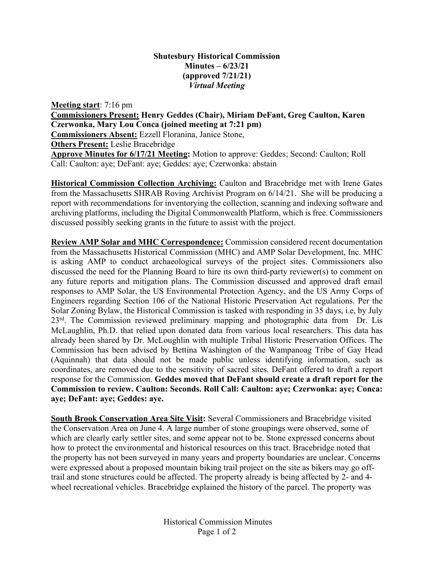## **Shutesbury Historical Commission Minutes – 6/23/21 (approved 7/21/21)** *Virtual Meeting*

**Meeting start**: 7:16 pm

**Commissioners Present: Henry Geddes (Chair), Miriam DeFant, Greg Caulton, Karen Czerwonka, Mary Lou Conca (joined meeting at 7:21 pm)**

**Commissioners Absent:** Ezzell Floranina, Janice Stone,

**Others Present:** Leslie Bracebridge

**Approve Minutes for 6/17/21 Meeting:** Motion to approve: Geddes; Second: Caulton; Roll Call: Caulton: aye; DeFant: aye; Geddes: aye; Czerwonka: abstain

**Historical Commission Collection Archiving:** Caulton and Bracebridge met with Irene Gates from the Massachusetts SHRAB Roving Archivist Program on 6/14/21. She will be producing a report with recommendations for inventorying the collection, scanning and indexing software and archiving platforms, including the Digital Commonwealth Platform, which is free. Commissioners discussed possibly seeking grants in the future to assist with the project.

**Review AMP Solar and MHC Correspondence:** Commission considered recent documentation from the Massachusetts Historical Commission (MHC) and AMP Solar Development, Inc. MHC is asking AMP to conduct archaeological surveys of the project sites. Commissioners also discussed the need for the Planning Board to hire its own third-party reviewer(s) to comment on any future reports and mitigation plans. The Commission discussed and approved draft email responses to AMP Solar, the US Environmental Protection Agency, and the US Army Corps of Engineers regarding Section 106 of the National Historic Preservation Act regulations. Per the Solar Zoning Bylaw, the Historical Commission is tasked with responding in 35 days, i.e, by July 23<sup>rd</sup>. The Commission reviewed preliminary mapping and photographic data from Dr. Lis McLaughlin, Ph.D. that relied upon donated data from various local researchers. This data has already been shared by Dr. McLoughlin with multiple Tribal Historic Preservation Offices. The Commission has been advised by Bettina Washington of the Wampanoag Tribe of Gay Head (Aquinnah) that data should not be made public unless identifying information, such as coordinates, are removed due to the sensitivity of sacred sites. DeFant offered to draft a report response for the Commission. **Geddes moved that DeFant should create a draft report for the Commission to review. Caulton: Seconds. Roll Call: Caulton: aye; Czerwonka: aye; Conca: aye; DeFant: aye; Geddes: aye.** 

**South Brook Conservation Area Site Visit:** Several Commissioners and Bracebridge visited the Conservation Area on June 4. A large number of stone groupings were observed, some of which are clearly early settler sites, and some appear not to be. Stone expressed concerns about how to protect the environmental and historical resources on this tract. Bracebridge noted that the property has not been surveyed in many years and property boundaries are unclear. Concerns were expressed about a proposed mountain biking trail project on the site as bikers may go offtrail and stone structures could be affected. The property already is being affected by 2- and 4 wheel recreational vehicles. Bracebridge explained the history of the parcel. The property was